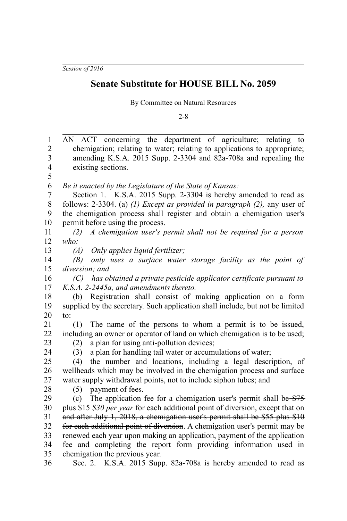*Session of 2016*

## **Senate Substitute for HOUSE BILL No. 2059**

By Committee on Natural Resources

2-8

| $\mathbf{1}$            | AN ACT concerning the department of agriculture; relating to                   |  |  |  |
|-------------------------|--------------------------------------------------------------------------------|--|--|--|
| $\overline{c}$          | chemigation; relating to water; relating to applications to appropriate;       |  |  |  |
| 3                       | amending K.S.A. 2015 Supp. 2-3304 and 82a-708a and repealing the               |  |  |  |
| $\overline{\mathbf{4}}$ | existing sections.                                                             |  |  |  |
| 5                       |                                                                                |  |  |  |
| 6                       | Be it enacted by the Legislature of the State of Kansas:                       |  |  |  |
| 7                       | Section 1. K.S.A. 2015 Supp. 2-3304 is hereby amended to read as               |  |  |  |
| 8                       | follows: 2-3304. (a) $(1)$ Except as provided in paragraph $(2)$ , any user of |  |  |  |
| 9                       | the chemigation process shall register and obtain a chemigation user's         |  |  |  |
| 10                      | permit before using the process.                                               |  |  |  |
| 11                      | A chemigation user's permit shall not be required for a person<br>(2)          |  |  |  |
| 12                      | who:                                                                           |  |  |  |
| 13                      | Only applies liquid fertilizer;<br>(A)                                         |  |  |  |
| 14                      | only uses a surface water storage facility as the point of<br>(B)              |  |  |  |
| 15                      | diversion; and                                                                 |  |  |  |
| 16                      | has obtained a private pesticide applicator certificate pursuant to<br>(C)     |  |  |  |
| 17                      | K.S.A. 2-2445a, and amendments thereto.                                        |  |  |  |
| 18                      | (b) Registration shall consist of making application on a form                 |  |  |  |
| 19                      | supplied by the secretary. Such application shall include, but not be limited  |  |  |  |
| 20                      | to:                                                                            |  |  |  |
| 21                      | The name of the persons to whom a permit is to be issued,<br>(1)               |  |  |  |
| 22                      | including an owner or operator of land on which chemigation is to be used;     |  |  |  |
| 23                      | a plan for using anti-pollution devices;<br>(2)                                |  |  |  |
| 24                      | a plan for handling tail water or accumulations of water;<br>(3)               |  |  |  |
| 25                      | the number and locations, including a legal description, of<br>(4)             |  |  |  |
| 26                      | wellheads which may be involved in the chemigation process and surface         |  |  |  |
| 27                      | water supply withdrawal points, not to include siphon tubes; and               |  |  |  |
| 28                      | (5) payment of fees.                                                           |  |  |  |
| 29                      | The application fee for a chemigation user's permit shall be \$75<br>(c)       |  |  |  |
| 30                      | plus \$15 \$30 per year for each additional point of diversion, except that on |  |  |  |
| 31                      | and after July 1, 2018, a chemigation user's permit shall be \$55 plus \$10    |  |  |  |
| 32                      | for each additional point of diversion. A chemigation user's permit may be     |  |  |  |
| 33                      | renewed each year upon making an application, payment of the application       |  |  |  |
| 34                      | fee and completing the report form providing information used in               |  |  |  |
| 35                      | chemigation the previous year.                                                 |  |  |  |
| 36                      | Sec. 2. K.S.A. 2015 Supp. 82a-708a is hereby amended to read as                |  |  |  |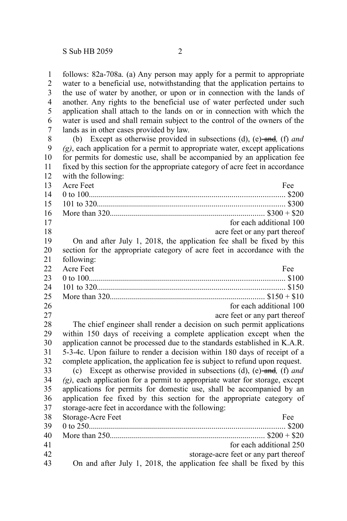follows: 82a-708a. (a) Any person may apply for a permit to appropriate water to a beneficial use, notwithstanding that the application pertains to the use of water by another, or upon or in connection with the lands of another. Any rights to the beneficial use of water perfected under such application shall attach to the lands on or in connection with which the water is used and shall remain subject to the control of the owners of the lands as in other cases provided by law. 1 2 3 4 5 6 7

(b) Except as otherwise provided in subsections (d), (e) and*,* (f) *and (g)*, each application for a permit to appropriate water, except applications for permits for domestic use, shall be accompanied by an application fee fixed by this section for the appropriate category of acre feet in accordance with the following: 8 9 10 11 12

| 13 | Acre Feet<br>Fee                                                               |
|----|--------------------------------------------------------------------------------|
| 14 |                                                                                |
| 15 |                                                                                |
| 16 |                                                                                |
| 17 | for each additional 100                                                        |
| 18 | acre feet or any part thereof                                                  |
| 19 | On and after July 1, 2018, the application fee shall be fixed by this          |
| 20 | section for the appropriate category of acre feet in accordance with the       |
| 21 | following:                                                                     |
| 22 | Acre Feet<br>Fee                                                               |
| 23 |                                                                                |
| 24 |                                                                                |
| 25 |                                                                                |
| 26 | for each additional 100                                                        |
| 27 | acre feet or any part thereof                                                  |
| 28 | The chief engineer shall render a decision on such permit applications         |
| 29 | within 150 days of receiving a complete application except when the            |
| 30 | application cannot be processed due to the standards established in K.A.R.     |
| 31 | 5-3-4c. Upon failure to render a decision within 180 days of receipt of a      |
| 32 | complete application, the application fee is subject to refund upon request.   |
| 33 | (c) Except as otherwise provided in subsections (d), (e)-and, (f) and          |
| 34 | $(g)$ , each application for a permit to appropriate water for storage, except |
| 35 | applications for permits for domestic use, shall be accompanied by an          |
| 36 | application fee fixed by this section for the appropriate category of          |
| 37 | storage-acre feet in accordance with the following:                            |
| 38 | Storage-Acre Feet<br>Fee                                                       |
| 39 |                                                                                |
| 40 |                                                                                |
| 41 | for each additional 250                                                        |
| 42 | storage-acre feet or any part thereof                                          |
| 43 | On and after July 1, 2018, the application fee shall be fixed by this          |